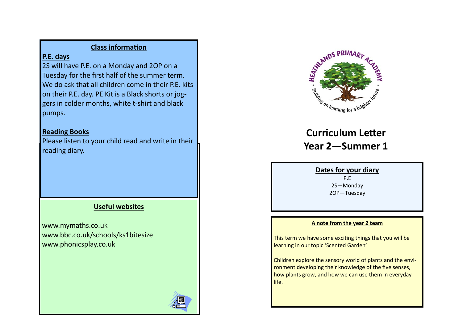# **Class information**

# **P.E. days**

2S will have P.E. on a Monday and 2OP on a Tuesday for the first half of the summer term. We do ask that all children come in their P.E. kits on their P.E. day. PE Kit is a Black shorts or joggers in colder months, white t-shirt and black pumps.

# **Reading Books**

Please listen to your child read and write in their reading diary.

# **Useful websites**

www.mymaths.co.uk www.bbc.co.uk/schools/ks1bitesize www.phonicsplay.co.uk



# **Curriculum Letter**

**Year 2—Summer 1**

## **Dates for your diary**

P.E 2S—Monday 2OP—Tuesday

## **A note from the year 2 team**

This term we have some exciting things that you will be learning in our topic 'Scented Garden'

Children explore the sensory world of plants and the environment developing their knowledge of the five senses. how plants grow, and how we can use them in everyday life.